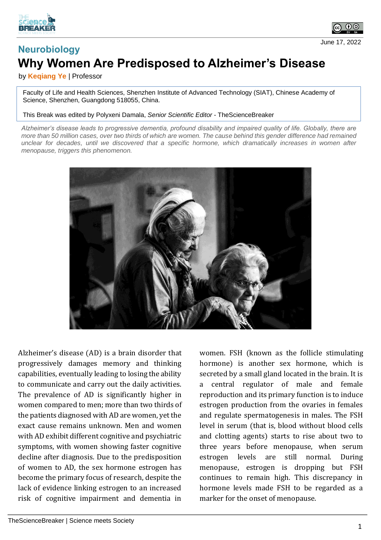



## **Neurobiology Why Women Are Predisposed to Alzheimer's Disease** June 17, 2022

by **Keqiang Ye** | Professor

Faculty of Life and Health Sciences, Shenzhen Institute of Advanced Technology (SIAT), Chinese Academy of Science, Shenzhen, Guangdong 518055, China.

This Break was edited by Polyxeni Damala, *Senior Scientific Editor* - TheScienceBreaker

*Alzheimer's disease leads to progressive dementia, profound disability and impaired quality of life. Globally, there are more than 50 million cases, over two thirds of which are women. The cause behind this gender difference had remained unclear for decades, until we discovered that a specific hormone, which dramatically increases in women after menopause, triggers this phenomenon.*



Alzheimer's disease (AD) is a brain disorder that progressively damages memory and thinking capabilities, eventually leading to losing the ability to communicate and carry out the daily activities. The prevalence of AD is significantly higher in women compared to men; more than two thirds of the patients diagnosed with AD are women, yet the exact cause remains unknown. Men and women with AD exhibit different cognitive and psychiatric symptoms, with women showing faster cognitive decline after diagnosis. Due to the predisposition of women to AD, the sex hormone estrogen has become the primary focus of research, despite the lack of evidence linking estrogen to an increased risk of cognitive impairment and dementia in

women. FSH (known as the follicle stimulating hormone) is another sex hormone, which is secreted by a small gland located in the brain. It is a central regulator of male and female reproduction and its primary function is to induce estrogen production from the ovaries in females and regulate spermatogenesis in males. The FSH level in serum (that is, blood without blood cells and clotting agents) starts to rise about two to three years before menopause, when serum estrogen levels are still normal. During menopause, estrogen is dropping but FSH continues to remain high. This discrepancy in hormone levels made FSH to be regarded as a marker for the onset of menopause.